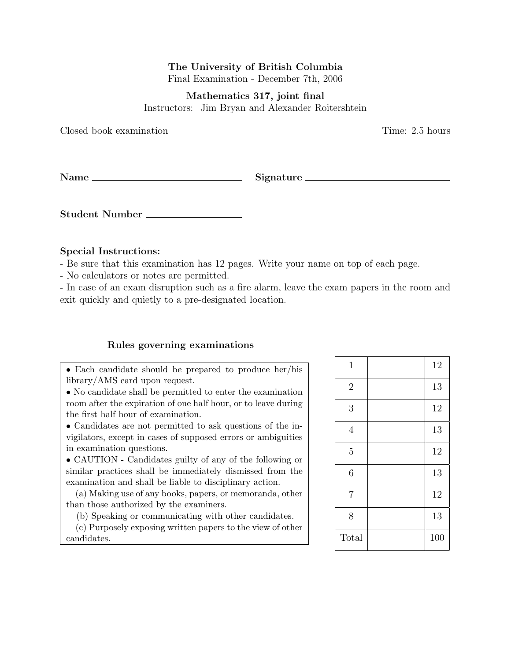#### The University of British Columbia Final Examination - December 7th, 2006

#### Mathematics 317, joint final

Instructors: Jim Bryan and Alexander Roitershtein

Closed book examination Time: 2.5 hours

Name Signature

Student Number

### Special Instructions:

- Be sure that this examination has 12 pages. Write your name on top of each page.

- No calculators or notes are permitted.

- In case of an exam disruption such as a fire alarm, leave the exam papers in the room and exit quickly and quietly to a pre-designated location.

### Rules governing examinations

• Each candidate should be prepared to produce her/his library/AMS card upon request.

• No candidate shall be permitted to enter the examination room after the expiration of one half hour, or to leave during the first half hour of examination.

• Candidates are not permitted to ask questions of the invigilators, except in cases of supposed errors or ambiguities in examination questions.

• CAUTION - Candidates guilty of any of the following or similar practices shall be immediately dismissed from the examination and shall be liable to disciplinary action.

(a) Making use of any books, papers, or memoranda, other than those authorized by the examiners.

(b) Speaking or communicating with other candidates.

(c) Purposely exposing written papers to the view of other candidates.

| $\mathbf{1}$     | 12  |
|------------------|-----|
| $\overline{2}$   | 13  |
| 3                | 12  |
| $\overline{4}$   | 13  |
| $\overline{5}$   | 12  |
| $\boldsymbol{6}$ | 13  |
| $\overline{7}$   | 12  |
| 8                | 13  |
| Total            | 100 |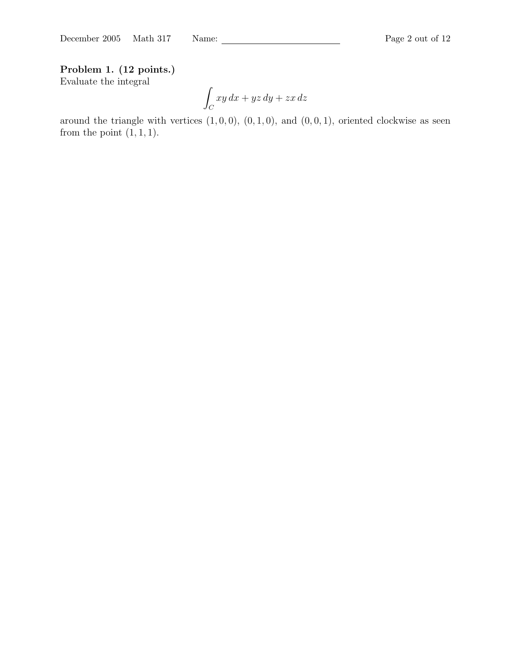# Problem 1. (12 points.)

Evaluate the integral

$$
\int_C xy\,dx + yz\,dy + zx\,dz
$$

around the triangle with vertices  $(1, 0, 0)$ ,  $(0, 1, 0)$ , and  $(0, 0, 1)$ , oriented clockwise as seen from the point  $(1, 1, 1)$ .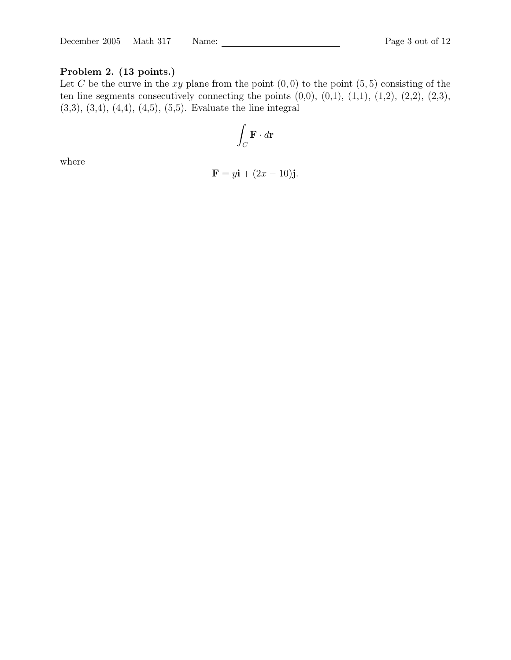# Problem 2. (13 points.)

Let C be the curve in the xy plane from the point  $(0, 0)$  to the point  $(5, 5)$  consisting of the ten line segments consecutively connecting the points  $(0,0)$ ,  $(0,1)$ ,  $(1,1)$ ,  $(1,2)$ ,  $(2,2)$ ,  $(2,3)$ , (3,3), (3,4), (4,4), (4,5), (5,5). Evaluate the line integral

$$
\int_C \mathbf{F} \cdot d\mathbf{r}
$$

where

$$
\mathbf{F} = y\mathbf{i} + (2x - 10)\mathbf{j}.
$$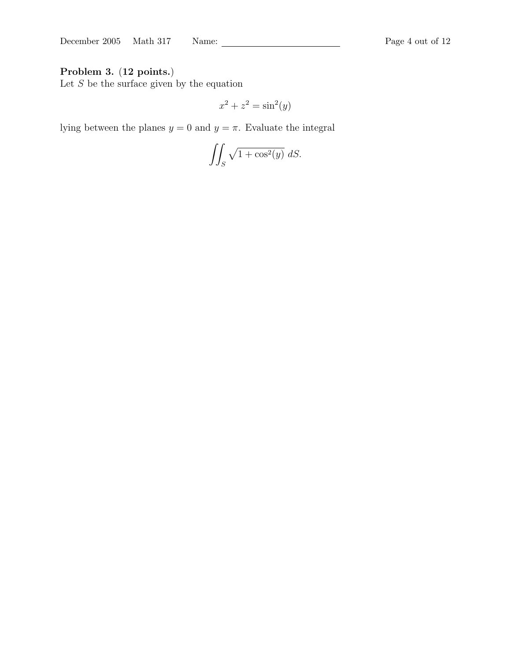December 2005 Math 317 Name: Page 4 out of 12

# Problem 3. (12 points.)

Let  $S$  be the surface given by the equation

$$
x^2 + z^2 = \sin^2(y)
$$

lying between the planes  $y = 0$  and  $y = \pi$ . Evaluate the integral

$$
\iint_S \sqrt{1 + \cos^2(y)} \, dS.
$$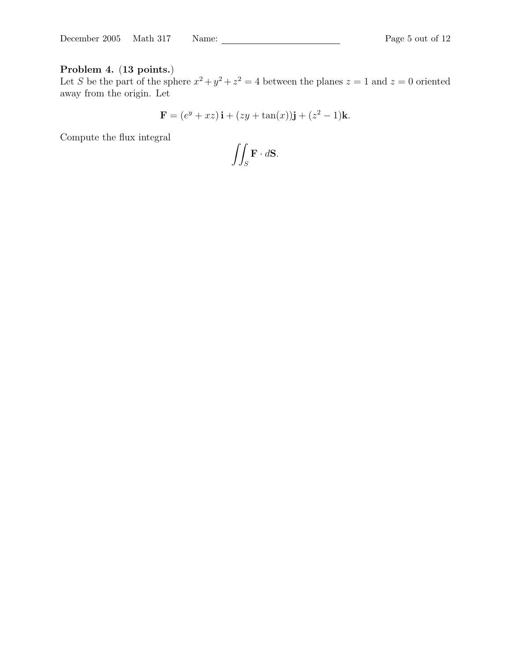### Problem 4. (13 points.)

Let S be the part of the sphere  $x^2 + y^2 + z^2 = 4$  between the planes  $z = 1$  and  $z = 0$  oriented away from the origin. Let

$$
\mathbf{F} = (e^y + xz)\mathbf{i} + (zy + \tan(x))\mathbf{j} + (z^2 - 1)\mathbf{k}.
$$

Compute the flux integral

$$
\iint_S \mathbf{F} \cdot d\mathbf{S}.
$$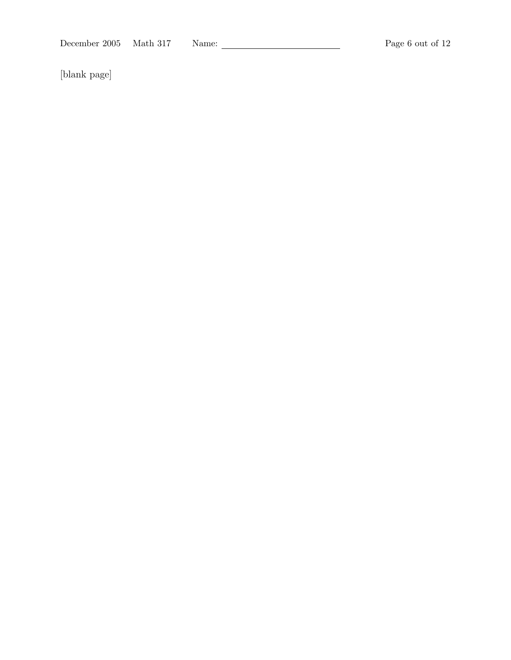December 2005 Math 317 Name: 2005 Math 317 Name: Page 6 out of 12

[blank page]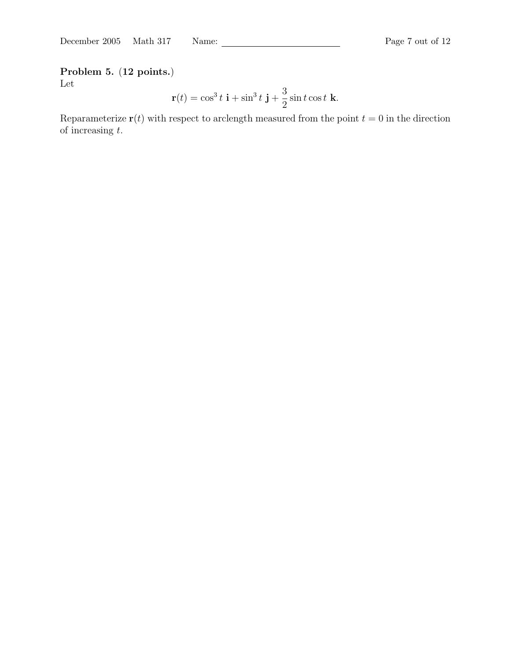# Problem 5. (12 points.)

Let

$$
\mathbf{r}(t) = \cos^3 t \mathbf{i} + \sin^3 t \mathbf{j} + \frac{3}{2}\sin t \cos t \mathbf{k}.
$$

Reparameterize  $r(t)$  with respect to arclength measured from the point  $t = 0$  in the direction of increasing t.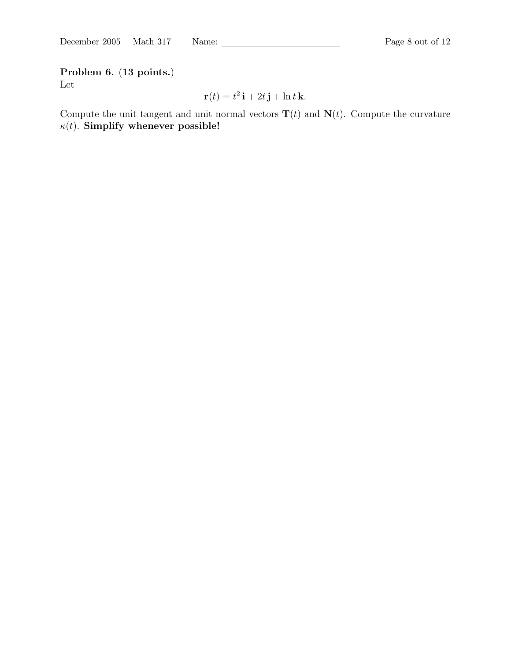Problem 6. (13 points.) Let

$$
\mathbf{r}(t) = t^2 \,\mathbf{i} + 2t \,\mathbf{j} + \ln t \,\mathbf{k}.
$$

Compute the unit tangent and unit normal vectors  $\mathbf{T}(t)$  and  $\mathbf{N}(t)$ . Compute the curvature  $\kappa(t)$ . Simplify whenever possible!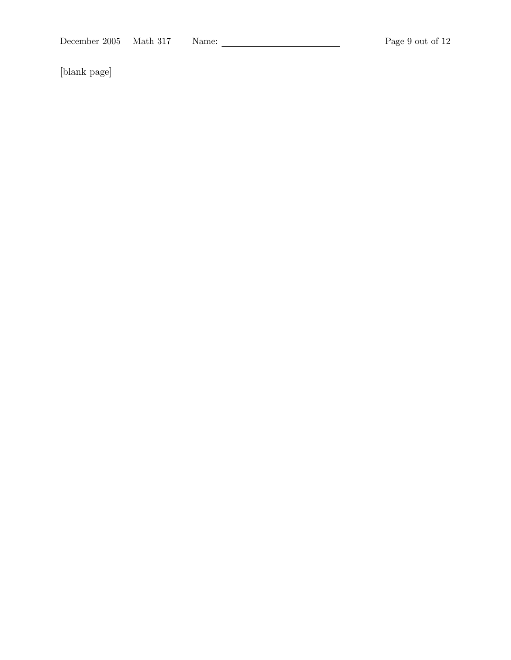December 2005 Math 317 Name:  $\frac{1}{2}$  Page 9 out of 12

[blank page]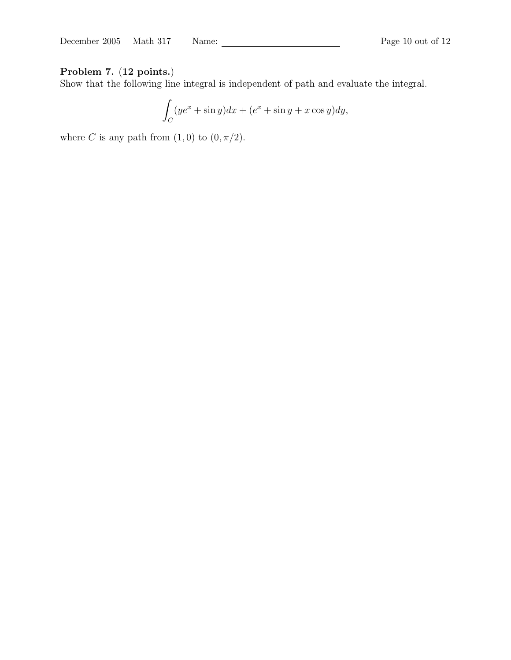# Problem 7. (12 points.)

Show that the following line integral is independent of path and evaluate the integral.

$$
\int_C (ye^x + \sin y)dx + (e^x + \sin y + x\cos y)dy,
$$

where C is any path from  $(1, 0)$  to  $(0, \pi/2)$ .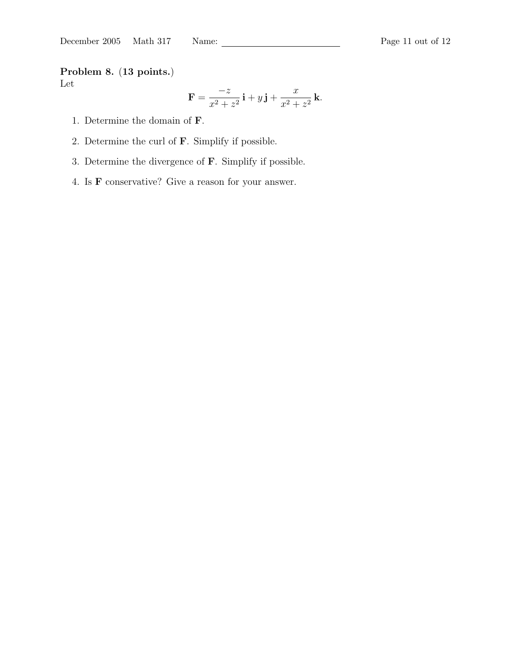December 2005 Math 317 Name: Page 11 out of 12

### Problem 8. (13 points.) Let

$$
\mathbf{F} = \frac{-z}{x^2 + z^2} \mathbf{i} + y \mathbf{j} + \frac{x}{x^2 + z^2} \mathbf{k}.
$$

- 1. Determine the domain of F.
- 2. Determine the curl of F. Simplify if possible.
- 3. Determine the divergence of F. Simplify if possible.
- 4. Is F conservative? Give a reason for your answer.